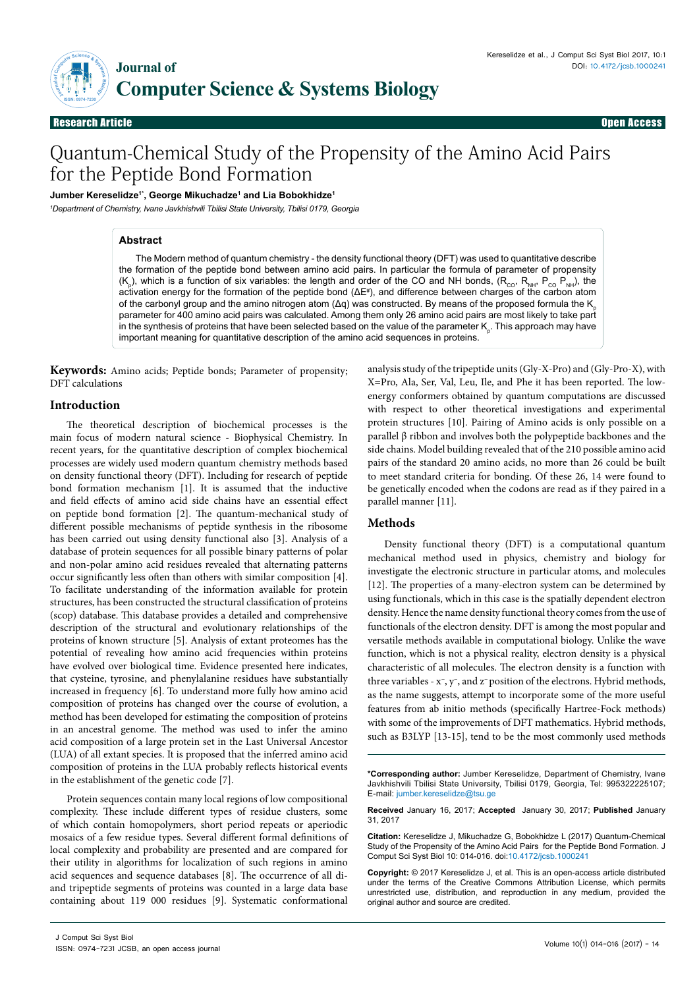

Research Article

Open Access

# Quantum-Chemical Study of the Propensity of the Amino Acid Pairs for the Peptide Bond Formation

**Jumber Kereselidze1\*, George Mikuchadze1 and Lia Bobokhidze1**

*1 Department of Chemistry, Ivane Javkhishvili Tbilisi State University, Tbilisi 0179, Georgia*

## **Abstract**

The Modern method of quantum chemistry - the density functional theory (DFT) was used to quantitative describe the formation of the peptide bond between amino acid pairs. In particular the formula of parameter of propensity (K<sub>p</sub>), which is a function of six variables: the length and order of the CO and NH bonds, (R<sub>co</sub>, R<sub>NH</sub>, P<sub>co</sub> P<sub>NH</sub>), the activation energy for the formation of the peptide bond (ΔE<sup>#</sup>), and difference between charges of the carbon atom of the carbonyl group and the amino nitrogen atom (Δq) was constructed. By means of the proposed formula the K parameter for 400 amino acid pairs was calculated. Among them only 26 amino acid pairs are most likely to take part in the synthesis of proteins that have been selected based on the value of the parameter  $\mathsf{K}_{_\mathsf{p}}.$  This approach may have important meaning for quantitative description of the amino acid sequences in proteins.

**Keywords:** Amino acids; Peptide bonds; Parameter of propensity; DFT calculations

# **Introduction**

The theoretical description of biochemical processes is the main focus of modern natural science - Biophysical Chemistry. In recent years, for the quantitative description of complex biochemical processes are widely used modern quantum chemistry methods based on density functional theory (DFT). Including for research of peptide bond formation mechanism [1]. It is assumed that the inductive and field effects of amino acid side chains have an essential effect on peptide bond formation [2]. The quantum-mechanical study of different possible mechanisms of peptide synthesis in the ribosome has been carried out using density functional also [3]. Analysis of a database of protein sequences for all possible binary patterns of polar and non-polar amino acid residues revealed that alternating patterns occur significantly less often than others with similar composition [4]. To facilitate understanding of the information available for protein structures, has been constructed the structural classification of proteins (scop) database. This database provides a detailed and comprehensive description of the structural and evolutionary relationships of the proteins of known structure [5]. Analysis of extant proteomes has the potential of revealing how amino acid frequencies within proteins have evolved over biological time. Evidence presented here indicates, that cysteine, tyrosine, and phenylalanine residues have substantially increased in frequency [6]. To understand more fully how amino acid composition of proteins has changed over the course of evolution, a method has been developed for estimating the composition of proteins in an ancestral genome. The method was used to infer the amino acid composition of a large protein set in the Last Universal Ancestor (LUA) of all extant species. It is proposed that the inferred amino acid composition of proteins in the LUA probably reflects historical events in the establishment of the genetic code [7].

Protein sequences contain many local regions of low compositional complexity. These include different types of residue clusters, some of which contain homopolymers, short period repeats or aperiodic mosaics of a few residue types. Several different formal definitions of local complexity and probability are presented and are compared for their utility in algorithms for localization of such regions in amino acid sequences and sequence databases [8]. The occurrence of all diand tripeptide segments of proteins was counted in a large data base containing about 119 000 residues [9]. Systematic conformational analysis study of the tripeptide units (Gly-X-Pro) and (Gly-Pro-X), with X=Pro, Ala, Ser, Val, Leu, Ile, and Phe it has been reported. The lowenergy conformers obtained by quantum computations are discussed with respect to other theoretical investigations and experimental protein structures [10]. Pairing of Amino acids is only possible on a parallel β ribbon and involves both the polypeptide backbones and the side chains. Model building revealed that of the 210 possible amino acid pairs of the standard 20 amino acids, no more than 26 could be built to meet standard criteria for bonding. Of these 26, 14 were found to be genetically encoded when the codons are read as if they paired in a parallel manner [11].

# **Methods**

Density functional theory (DFT) is a computational quantum mechanical method used in physics, chemistry and biology for investigate the electronic structure in particular atoms, and molecules [12]. The properties of a many-electron system can be determined by using functionals, which in this case is the spatially dependent electron density. Hence the name density functional theory comes from the use of functionals of the electron density. DFT is among the most popular and versatile methods available in computational biology. Unlike the wave function, which is not a physical reality, electron density is a physical characteristic of all molecules. The electron density is a function with three variables - x−, y−, and z− position of the electrons. Hybrid methods, as the name suggests, attempt to incorporate some of the more useful features from ab initio methods (specifically Hartree-Fock methods) with some of the improvements of DFT mathematics. Hybrid methods, such as B3LYP [13-15], tend to be the most commonly used methods

**\*Corresponding author:** Jumber Kereselidze, Department of Chemistry, Ivane Javkhishvili Tbilisi State University, Tbilisi 0179, Georgia, Tel: 995322225107; E-mail: [jumber.kereselidze@tsu.ge](mailto:jumber.kereselidze@tsu.ge)

**Received** January 16, 2017; **Accepted** January 30, 2017; **Published** January 31, 2017

**Citation:** Kereselidze J, Mikuchadze G, Bobokhidze L (2017) Quantum-Chemical Study of the Propensity of the Amino Acid Pairs for the Peptide Bond Formation. J Comput Sci Syst Biol 10: 014-016. doi:10.4172/jcsb.1000241

**Copyright:** © 2017 Kereselidze J, et al. This is an open-access article distributed under the terms of the Creative Commons Attribution License, which permits unrestricted use, distribution, and reproduction in any medium, provided the original author and source are credited.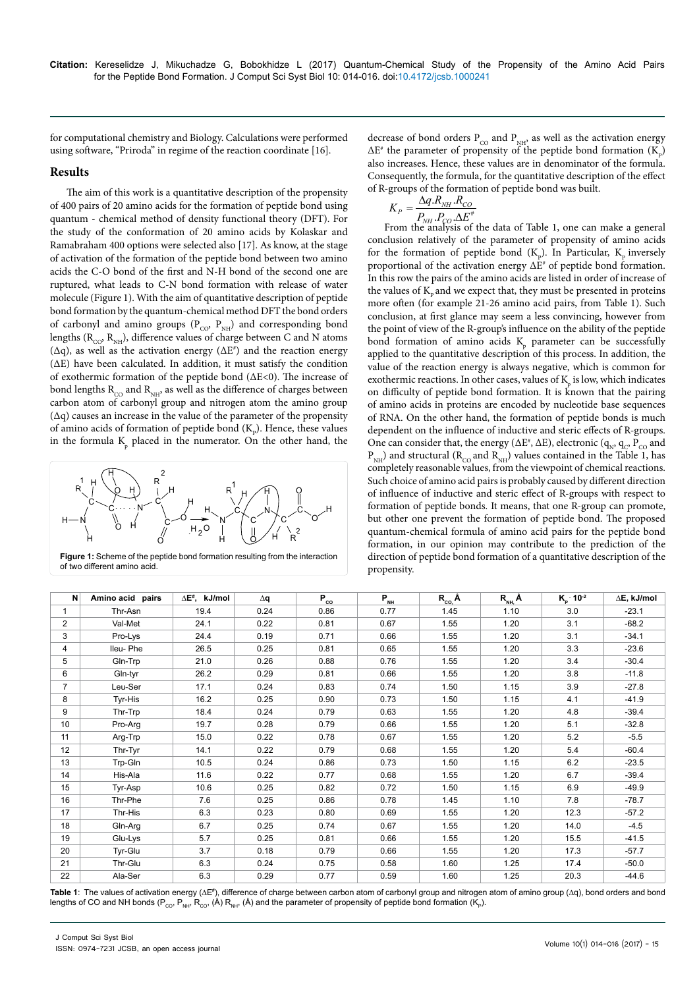for computational chemistry and Biology. Calculations were performed using software, "Priroda" in regime of the reaction coordinate [16].

# **Results**

The aim of this work is a quantitative description of the propensity of 400 pairs of 20 amino acids for the formation of peptide bond using quantum - chemical method of density functional theory (DFT). For the study of the conformation of 20 amino acids by Kolaskar and Ramabraham 400 options were selected also [17]. As know, at the stage of activation of the formation of the peptide bond between two amino acids the C-O bond of the first and N-H bond of the second one are ruptured, what leads to C-N bond formation with release of water molecule (Figure 1). With the aim of quantitative description of peptide bond formation by the quantum-chemical method DFT the bond orders of carbonyl and amino groups ( $P_{CO}$ ,  $P_{NH}$ ) and corresponding bond lengths ( $R_{CO}$ ,  $R_{NH}$ ), difference values of charge between C and N atoms  $(\Delta q)$ , as well as the activation energy  $(\Delta E^*)$  and the reaction energy (∆E) have been calculated. In addition, it must satisfy the condition of exothermic formation of the peptide bond (∆E<0). The increase of bond lengths  $R_{CO}$  and  $R_{NH}$ , as well as the difference of charges between carbon atom of carbonyl group and nitrogen atom the amino group (∆q) causes an increase in the value of the parameter of the propensity of amino acids of formation of peptide bond  $(K_p)$ . Hence, these values in the formula  $K_p$  placed in the numerator. On the other hand, the



**Figure 1:** Scheme of the peptide bond formation resulting from the interaction of two different amino acid.

decrease of bond orders  $P_{CO}$  and  $P_{NH}$ , as well as the activation energy  $\Delta E^*$  the parameter of propensity of the peptide bond formation (K<sub>p</sub>) also increases. Hence, these values are in denominator of the formula. Consequently, the formula, for the quantitative description of the effect of R-groups of the formation of peptide bond was built.

$$
K_P = \frac{\Delta q.R_{NH} . R_{CO}}{P_{NH} . P_{CO} . \Delta E^*}
$$

From the analysis of the data of Table 1, one can make a general conclusion relatively of the parameter of propensity of amino acids for the formation of peptide bond  $(K_p)$ . In Particular,  $K_p$  inversely proportional of the activation energy  $\Delta E^*$  of peptide bond formation. In this row the pairs of the amino acids are listed in order of increase of the values of  $K_{p}$  and we expect that, they must be presented in proteins more often (for example 21-26 amino acid pairs, from Table 1). Such conclusion, at first glance may seem a less convincing, however from the point of view of the R-group's influence on the ability of the peptide bond formation of amino acids  $K_p$  parameter can be successfully applied to the quantitative description of this process. In addition, the value of the reaction energy is always negative, which is common for exothermic reactions. In other cases, values of  $K_p$  is low, which indicates on difficulty of peptide bond formation. It is known that the pairing of amino acids in proteins are encoded by nucleotide base sequences of RNA. On the other hand, the formation of peptide bonds is much dependent on the influence of inductive and steric effects of R-groups. One can consider that, the energy ( $\Delta E^*$ ,  $\Delta E$ ), electronic ( $q_N$ ,  $q_C$ ,  $P_{CO}$  and  $P_{NH}$ ) and structural ( $R_{CO}$  and  $R_{NH}$ ) values contained in the Table 1, has completely reasonable values, from the viewpoint of chemical reactions. Such choice of amino acid pairs is probably caused by different direction of influence of inductive and steric effect of R-groups with respect to formation of peptide bonds. It means, that one R-group can promote, but other one prevent the formation of peptide bond. The proposed quantum-chemical formula of amino acid pairs for the peptide bond formation, in our opinion may contribute to the prediction of the direction of peptide bond formation of a quantitative description of the propensity.

| N               | Amino acid pairs | $\Delta E^*$ , kJ/mol | $\Delta q$ | $P_{co}$ | $P_{NH}$ | $R_{co}$ Å | $R_{NH}$ $\AA$ | $K_p$ 10 <sup>-2</sup> | ∆E, kJ/mol |
|-----------------|------------------|-----------------------|------------|----------|----------|------------|----------------|------------------------|------------|
|                 | Thr-Asn          | 19.4                  | 0.24       | 0.86     | 0.77     | 1.45       | 1.10           | 3.0                    | $-23.1$    |
| $\overline{2}$  | Val-Met          | 24.1                  | 0.22       | 0.81     | 0.67     | 1.55       | 1.20           | 3.1                    | $-68.2$    |
| 3               | Pro-Lys          | 24.4                  | 0.19       | 0.71     | 0.66     | 1.55       | 1.20           | 3.1                    | $-34.1$    |
| 4               | Ileu-Phe         | 26.5                  | 0.25       | 0.81     | 0.65     | 1.55       | 1.20           | 3.3                    | $-23.6$    |
| 5               | Gln-Trp          | 21.0                  | 0.26       | 0.88     | 0.76     | 1.55       | 1.20           | 3.4                    | $-30.4$    |
| 6               | Gln-tyr          | 26.2                  | 0.29       | 0.81     | 0.66     | 1.55       | 1.20           | 3.8                    | $-11.8$    |
| $\overline{7}$  | Leu-Ser          | 17.1                  | 0.24       | 0.83     | 0.74     | 1.50       | 1.15           | 3.9                    | $-27.8$    |
| 8               | Tyr-His          | 16.2                  | 0.25       | 0.90     | 0.73     | 1.50       | 1.15           | 4.1                    | $-41.9$    |
| 9               | Thr-Trp          | 18.4                  | 0.24       | 0.79     | 0.63     | 1.55       | 1.20           | 4.8                    | $-39.4$    |
| 10 <sup>°</sup> | Pro-Arg          | 19.7                  | 0.28       | 0.79     | 0.66     | 1.55       | 1.20           | 5.1                    | $-32.8$    |
| 11              | Arg-Trp          | 15.0                  | 0.22       | 0.78     | 0.67     | 1.55       | 1.20           | 5.2                    | $-5.5$     |
| 12              | Thr-Tyr          | 14.1                  | 0.22       | 0.79     | 0.68     | 1.55       | 1.20           | 5.4                    | $-60.4$    |
| 13              | Trp-Gln          | 10.5                  | 0.24       | 0.86     | 0.73     | 1.50       | 1.15           | 6.2                    | $-23.5$    |
| 14              | His-Ala          | 11.6                  | 0.22       | 0.77     | 0.68     | 1.55       | 1.20           | 6.7                    | $-39.4$    |
| 15              | Tyr-Asp          | 10.6                  | 0.25       | 0.82     | 0.72     | 1.50       | 1.15           | 6.9                    | $-49.9$    |
| 16              | Thr-Phe          | 7.6                   | 0.25       | 0.86     | 0.78     | 1.45       | 1.10           | 7.8                    | $-78.7$    |
| 17              | Thr-His          | 6.3                   | 0.23       | 0.80     | 0.69     | 1.55       | 1.20           | 12.3                   | $-57.2$    |
| 18              | Gln-Arg          | 6.7                   | 0.25       | 0.74     | 0.67     | 1.55       | 1.20           | 14.0                   | $-4.5$     |
| 19              | Glu-Lys          | 5.7                   | 0.25       | 0.81     | 0.66     | 1.55       | 1.20           | 15.5                   | $-41.5$    |
| 20              | Tyr-Glu          | 3.7                   | 0.18       | 0.79     | 0.66     | 1.55       | 1.20           | 17.3                   | $-57.7$    |
| 21              | Thr-Glu          | 6.3                   | 0.24       | 0.75     | 0.58     | 1.60       | 1.25           | 17.4                   | $-50.0$    |
| 22              | Ala-Ser          | 6.3                   | 0.29       | 0.77     | 0.59     | 1.60       | 1.25           | 20.3                   | $-44.6$    |

Table 1: The values of activation energy (∆E#), difference of charge between carbon atom of carbonyl group and nitrogen atom of amino group (∆q), bond orders and bond lengths of CO and NH bonds (P<sub>cO</sub>, P<sub>NH</sub>, R<sub>CO</sub>, (A) R<sub>NH</sub>, (A) and the parameter of propensity of peptide bond formation (K<sub>P</sub>).